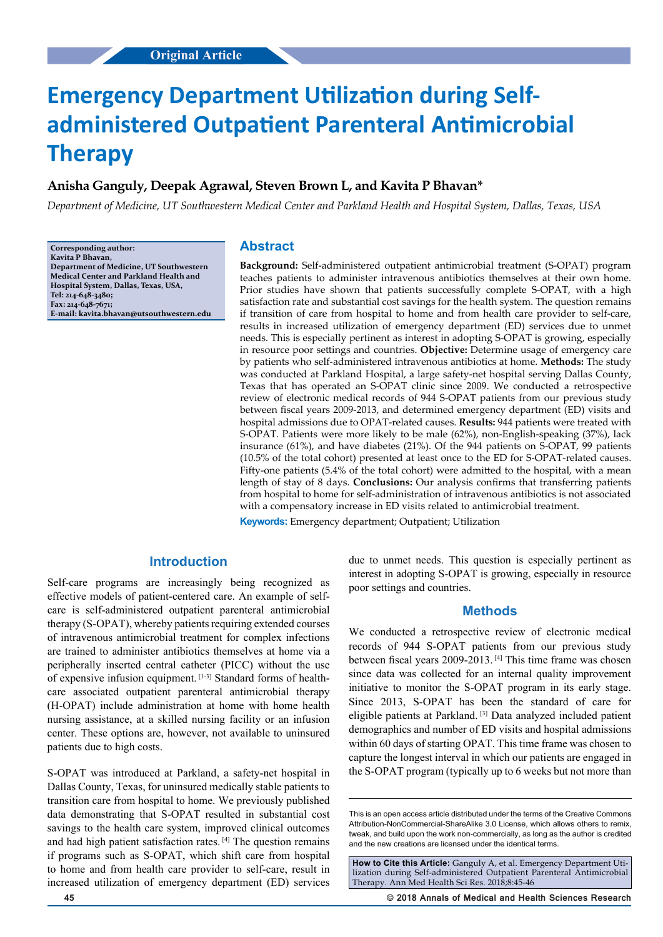# **Emergency Department Utilization during Selfadministered Outpatient Parenteral Antimicrobial Therapy**

# **Anisha Ganguly, Deepak Agrawal, Steven Brown L, and Kavita P Bhavan\***

*Department of Medicine, UT Southwestern Medical Center and Parkland Health and Hospital System, Dallas, Texas, USA*

**Corresponding author: Kavita P Bhavan, Department of Medicine, UT Southwestern Medical Center and Parkland Health and Hospital System, Dallas, Texas, USA, Tel: 214-648-3480; Fax: 214-648-7671; E-mail: kavita.bhavan@utsouthwestern.edu**

#### **Abstract**

**Background:** Self-administered outpatient antimicrobial treatment (S-OPAT) program teaches patients to administer intravenous antibiotics themselves at their own home. Prior studies have shown that patients successfully complete S-OPAT, with a high satisfaction rate and substantial cost savings for the health system. The question remains if transition of care from hospital to home and from health care provider to self-care, results in increased utilization of emergency department (ED) services due to unmet needs. This is especially pertinent as interest in adopting S-OPAT is growing, especially in resource poor settings and countries. **Objective:** Determine usage of emergency care by patients who self-administered intravenous antibiotics at home. **Methods:** The study was conducted at Parkland Hospital, a large safety-net hospital serving Dallas County, Texas that has operated an S-OPAT clinic since 2009. We conducted a retrospective review of electronic medical records of 944 S-OPAT patients from our previous study between fiscal years 2009-2013, and determined emergency department (ED) visits and hospital admissions due to OPAT-related causes. **Results:** 944 patients were treated with S-OPAT. Patients were more likely to be male (62%), non-English-speaking (37%), lack insurance (61%), and have diabetes (21%). Of the 944 patients on S-OPAT, 99 patients (10.5% of the total cohort) presented at least once to the ED for S-OPAT-related causes. Fifty-one patients (5.4% of the total cohort) were admitted to the hospital, with a mean length of stay of 8 days. **Conclusions:** Our analysis confirms that transferring patients from hospital to home for self-administration of intravenous antibiotics is not associated with a compensatory increase in ED visits related to antimicrobial treatment.

**Keywords:** Emergency department; Outpatient; Utilization

# **Introduction**

Self-care programs are increasingly being recognized as effective models of patient-centered care. An example of selfcare is self-administered outpatient parenteral antimicrobial therapy (S-OPAT), whereby patients requiring extended courses of intravenous antimicrobial treatment for complex infections are trained to administer antibiotics themselves at home via a peripherally inserted central catheter (PICC) without the use of expensive infusion equipment. [1-3] Standard forms of healthcare associated outpatient parenteral antimicrobial therapy (H-OPAT) include administration at home with home health nursing assistance, at a skilled nursing facility or an infusion center. These options are, however, not available to uninsured patients due to high costs.

S-OPAT was introduced at Parkland, a safety-net hospital in Dallas County, Texas, for uninsured medically stable patients to transition care from hospital to home. We previously published data demonstrating that S-OPAT resulted in substantial cost savings to the health care system, improved clinical outcomes and had high patient satisfaction rates. [4] The question remains if programs such as S-OPAT, which shift care from hospital to home and from health care provider to self-care, result in increased utilization of emergency department (ED) services

due to unmet needs. This question is especially pertinent as interest in adopting S-OPAT is growing, especially in resource poor settings and countries.

#### **Methods**

We conducted a retrospective review of electronic medical records of 944 S-OPAT patients from our previous study between fiscal years 2009-2013. [4] This time frame was chosen since data was collected for an internal quality improvement initiative to monitor the S-OPAT program in its early stage. Since 2013, S-OPAT has been the standard of care for eligible patients at Parkland. [3] Data analyzed included patient demographics and number of ED visits and hospital admissions within 60 days of starting OPAT. This time frame was chosen to capture the longest interval in which our patients are engaged in the S-OPAT program (typically up to 6 weeks but not more than

This is an open access article distributed under the terms of the Creative Commons Attribution-NonCommercial-ShareAlike 3.0 License, which allows others to remix, tweak, and build upon the work non‑commercially, as long as the author is credited and the new creations are licensed under the identical terms.

**How to Cite this Article:** Ganguly A, et al. Emergency Department Utilization during Self-administered Outpatient Parenteral Antimicrobial Therapy. Ann Med Health Sci Res. 2018;8:45-46

**45 © 2018 Annals of Medical and Health Sciences Research**